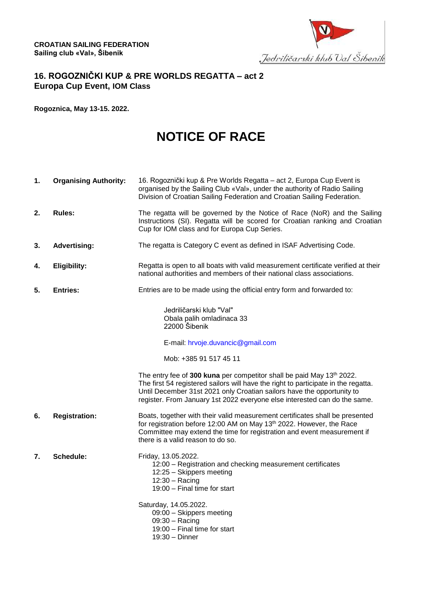

## **16. ROGOZNIČKI KUP & PRE WORLDS REGATTA – act 2 Europa Cup Event, IOM Class**

**Rogoznica, May 13-15. 2022.**

## **NOTICE OF RACE**

**1. Organising Authority:** 16. Rogoznički kup & Pre Worlds Regatta – act 2, Europa Cup Event is organised by the Sailing Club «Val», under the authority of Radio Sailing Division of Croatian Sailing Federation and Croatian Sailing Federation. **2. Rules:** The regatta will be governed by the Notice of Race (NoR) and the Sailing Instructions (SI). Regatta will be scored for Croatian ranking and Croatian Cup for IOM class and for Europa Cup Series. **3. Advertising:** The regatta is Category C event as defined in ISAF Advertising Code. **4. Eligibility:** Regatta is open to all boats with valid measurement certificate verified at their national authorities and members of their national class associations. **5. Entries:** Entries are to be made using the official entry form and forwarded to: Jedriličarski klub "Val" Obala palih omladinaca 33 22000 Šibenik E-mail: [hrvoje.duvancic@gmail.com](mailto:hrvoje.duvancic@gmail.com) Mob: +385 91 517 45 11 The entry fee of 300 kuna per competitor shall be paid May 13<sup>th</sup> 2022. The first 54 registered sailors will have the right to participate in the regatta. Until December 31st 2021 only Croatian sailors have the opportunity to register. From January 1st 2022 everyone else interested can do the same. **6. Registration:** Boats, together with their valid measurement certificates shall be presented for registration before 12:00 AM on May 13<sup>th</sup> 2022. However, the Race Committee may extend the time for registration and event measurement if there is a valid reason to do so. **7. Schedule:** Friday, 13.05.2022. 12:00 – Registration and checking measurement certificates 12:25 – Skippers meeting 12:30 – Racing 19:00 – Final time for start Saturday, 14.05.2022. 09:00 – Skippers meeting 09:30 – Racing 19:00 – Final time for start 19:30 – Dinner